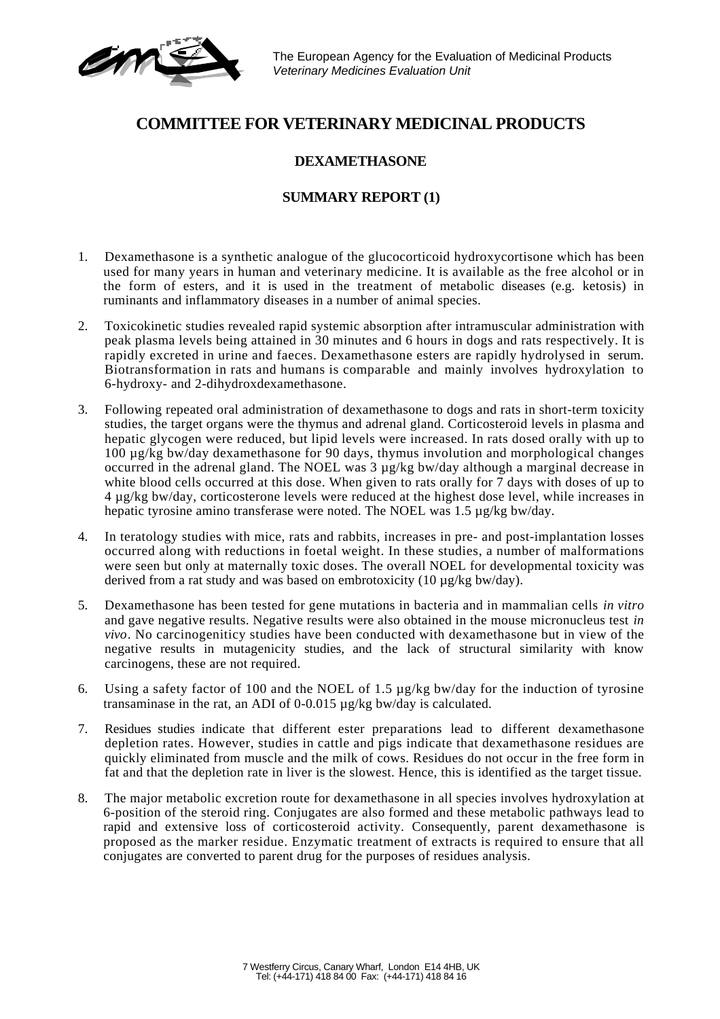The European Agency for the Evaluation of Medicinal Products *Veterinary Medicines Evaluation Unit*

# **COMMITTEE FOR VETERINARY MEDICINAL PRODUCTS**

#### **DEXAMETHASONE**

### **SUMMARY REPORT (1)**

- 1. Dexamethasone is a synthetic analogue of the glucocorticoid hydroxycortisone which has been used for many years in human and veterinary medicine. It is available as the free alcohol or in the form of esters, and it is used in the treatment of metabolic diseases (e.g. ketosis) in ruminants and inflammatory diseases in a number of animal species.
- 2. Toxicokinetic studies revealed rapid systemic absorption after intramuscular administration with peak plasma levels being attained in 30 minutes and 6 hours in dogs and rats respectively. It is rapidly excreted in urine and faeces. Dexamethasone esters are rapidly hydrolysed in serum. Biotransformation in rats and humans is comparable and mainly involves hydroxylation to 6-hydroxy- and 2-dihydroxdexamethasone.
- 3. Following repeated oral administration of dexamethasone to dogs and rats in short-term toxicity studies, the target organs were the thymus and adrenal gland. Corticosteroid levels in plasma and hepatic glycogen were reduced, but lipid levels were increased. In rats dosed orally with up to 100 µg/kg bw/day dexamethasone for 90 days, thymus involution and morphological changes occurred in the adrenal gland. The NOEL was 3 µg/kg bw/day although a marginal decrease in white blood cells occurred at this dose. When given to rats orally for  $\overline{7}$  days with doses of up to 4 µg/kg bw/day, corticosterone levels were reduced at the highest dose level, while increases in hepatic tyrosine amino transferase were noted. The NOEL was 1.5 µg/kg bw/day.
- 4. In teratology studies with mice, rats and rabbits, increases in pre- and post-implantation losses occurred along with reductions in foetal weight. In these studies, a number of malformations were seen but only at maternally toxic doses. The overall NOEL for developmental toxicity was derived from a rat study and was based on embrotoxicity (10 µg/kg bw/day).
- 5. Dexamethasone has been tested for gene mutations in bacteria and in mammalian cells *in vitro* and gave negative results. Negative results were also obtained in the mouse micronucleus test *in vivo*. No carcinogeniticy studies have been conducted with dexamethasone but in view of the negative results in mutagenicity studies, and the lack of structural similarity with know carcinogens, these are not required.
- 6. Using a safety factor of 100 and the NOEL of 1.5 µg/kg bw/day for the induction of tyrosine transaminase in the rat, an ADI of 0-0.015 µg/kg bw/day is calculated.
- 7. Residues studies indicate that different ester preparations lead to different dexamethasone depletion rates. However, studies in cattle and pigs indicate that dexamethasone residues are quickly eliminated from muscle and the milk of cows. Residues do not occur in the free form in fat and that the depletion rate in liver is the slowest. Hence, this is identified as the target tissue.
- 8. The major metabolic excretion route for dexamethasone in all species involves hydroxylation at 6-position of the steroid ring. Conjugates are also formed and these metabolic pathways lead to rapid and extensive loss of corticosteroid activity. Consequently, parent dexamethasone is proposed as the marker residue. Enzymatic treatment of extracts is required to ensure that all conjugates are converted to parent drug for the purposes of residues analysis.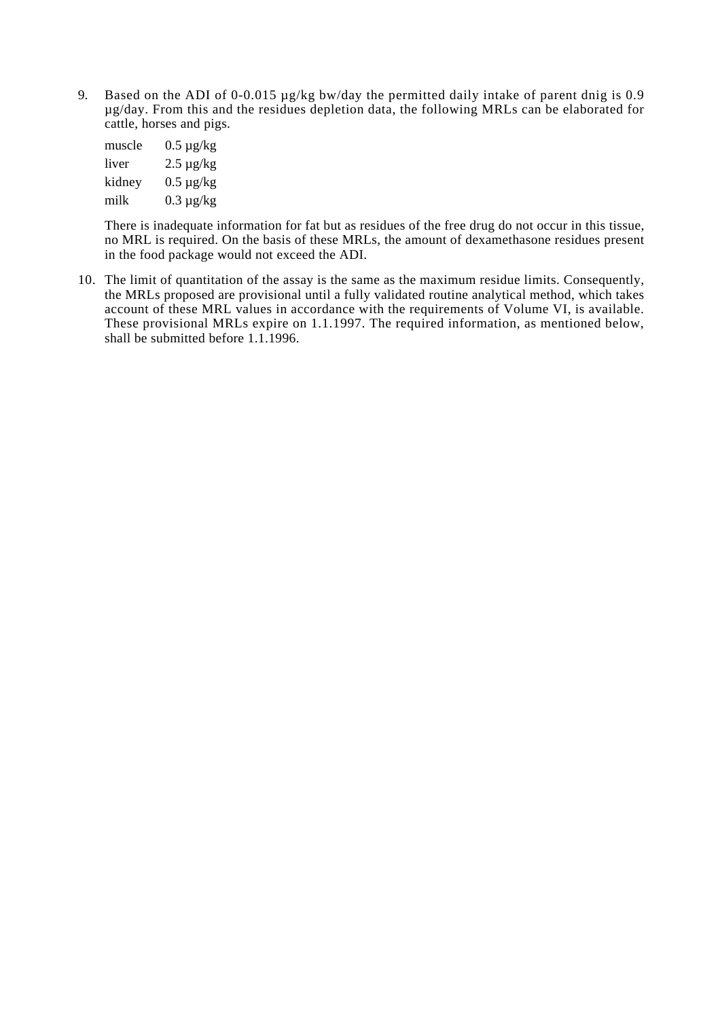9. Based on the ADI of 0-0.015  $\mu$ g/kg bw/day the permitted daily intake of parent dnig is 0.9 µg/day. From this and the residues depletion data, the following MRLs can be elaborated for cattle, horses and pigs.

| muscle | $0.5 \mu$ g/kg |
|--------|----------------|
| liver  | $2.5 \mu g/kg$ |
| kidney | $0.5 \mu g/kg$ |
| milk   | $0.3 \mu$ g/kg |

There is inadequate information for fat but as residues of the free drug do not occur in this tissue, no MRL is required. On the basis of these MRLs, the amount of dexamethasone residues present in the food package would not exceed the ADI.

10. The limit of quantitation of the assay is the same as the maximum residue limits. Consequently, the MRLs proposed are provisional until a fully validated routine analytical method, which takes account of these MRL values in accordance with the requirements of Volume VI, is available. These provisional MRLs expire on 1.1.1997. The required information, as mentioned below, shall be submitted before 1.1.1996.